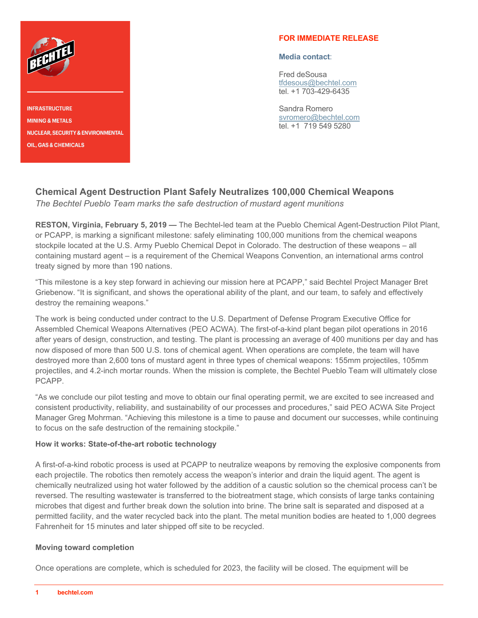

**INFRASTRUCTURE MINING & METALS NUCLEAR, SECURITY & ENVIRONMENTAL** , GAS & C

## **FOR IMMEDIATE RELEASE**

#### **Media contact**:

Fred deSousa [tfdesous@bechtel.com](mailto:tfdesous@bechtel.com) tel. +1 703-429-6435

Sandra Romero [svromero@bechtel.com](mailto:svromero@bechtel.com) tel. +1 719 549 5280

# **Chemical Agent Destruction Plant Safely Neutralizes 100,000 Chemical Weapons**

*The Bechtel Pueblo Team marks the safe destruction of mustard agent munitions* 

**RESTON, Virginia, February 5, 2019 —** The Bechtel-led team at the Pueblo Chemical Agent-Destruction Pilot Plant, or PCAPP, is marking a significant milestone: safely eliminating 100,000 munitions from the chemical weapons stockpile located at the U.S. Army Pueblo Chemical Depot in Colorado. The destruction of these weapons – all containing mustard agent – is a requirement of the Chemical Weapons Convention, an international arms control treaty signed by more than 190 nations.

"This milestone is a key step forward in achieving our mission here at PCAPP," said Bechtel Project Manager Bret Griebenow. "It is significant, and shows the operational ability of the plant, and our team, to safely and effectively destroy the remaining weapons."

The work is being conducted under contract to the U.S. Department of Defense Program Executive Office for Assembled Chemical Weapons Alternatives (PEO ACWA). The first-of-a-kind plant began pilot operations in 2016 after years of design, construction, and testing. The plant is processing an average of 400 munitions per day and has now disposed of more than 500 U.S. tons of chemical agent. When operations are complete, the team will have destroyed more than 2,600 tons of mustard agent in three types of chemical weapons: 155mm projectiles, 105mm projectiles, and 4.2-inch mortar rounds. When the mission is complete, the Bechtel Pueblo Team will ultimately close PCAPP.

"As we conclude our pilot testing and move to obtain our final operating permit, we are excited to see increased and consistent productivity, reliability, and sustainability of our processes and procedures," said PEO ACWA Site Project Manager Greg Mohrman. "Achieving this milestone is a time to pause and document our successes, while continuing to focus on the safe destruction of the remaining stockpile."

## **How it works: State-of-the-art robotic technology**

A first-of-a-kind robotic process is used at PCAPP to neutralize weapons by removing the explosive components from each projectile. The robotics then remotely access the weapon's interior and drain the liquid agent. The agent is chemically neutralized using hot water followed by the addition of a caustic solution so the chemical process can't be reversed. The resulting wastewater is transferred to the biotreatment stage, which consists of large tanks containing microbes that digest and further break down the solution into brine. The brine salt is separated and disposed at a permitted facility, and the water recycled back into the plant. The metal munition bodies are heated to 1,000 degrees Fahrenheit for 15 minutes and later shipped off site to be recycled.

#### **Moving toward completion**

Once operations are complete, which is scheduled for 2023, the facility will be closed. The equipment will be